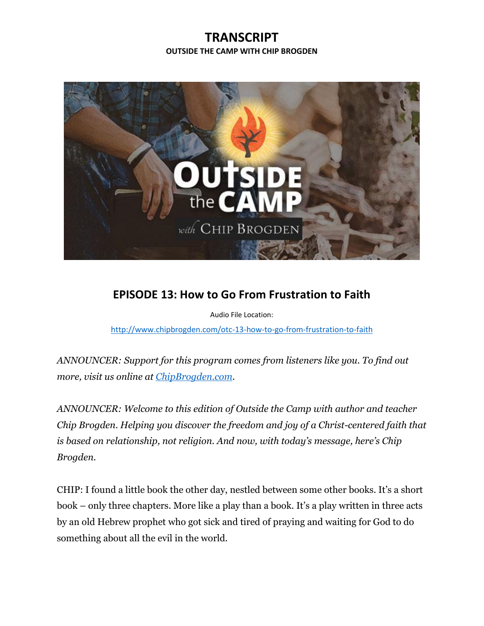## **TRANSCRIPT OUTSIDE THE CAMP WITH CHIP BROGDEN**



## **EPISODE 13: How to Go From Frustration to Faith**

Audio File Location:

<http://www.chipbrogden.com/otc-13-how-to-go-from-frustration-to-faith>

*ANNOUNCER: Support for this program comes from listeners like you. To find out more, visit us online at [ChipBrogden.com.](http://www.chipbrogden.com/)*

*ANNOUNCER: Welcome to this edition of Outside the Camp with author and teacher Chip Brogden. Helping you discover the freedom and joy of a Christ-centered faith that is based on relationship, not religion. And now, with today's message, here's Chip Brogden.*

CHIP: I found a little book the other day, nestled between some other books. It's a short book – only three chapters. More like a play than a book. It's a play written in three acts by an old Hebrew prophet who got sick and tired of praying and waiting for God to do something about all the evil in the world.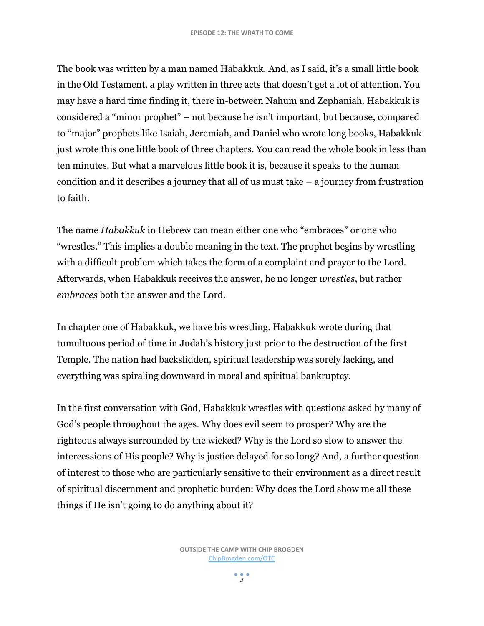The book was written by a man named Habakkuk. And, as I said, it's a small little book in the Old Testament, a play written in three acts that doesn't get a lot of attention. You may have a hard time finding it, there in-between Nahum and Zephaniah. Habakkuk is considered a "minor prophet" – not because he isn't important, but because, compared to "major" prophets like Isaiah, Jeremiah, and Daniel who wrote long books, Habakkuk just wrote this one little book of three chapters. You can read the whole book in less than ten minutes. But what a marvelous little book it is, because it speaks to the human condition and it describes a journey that all of us must take – a journey from frustration to faith.

The name *Habakkuk* in Hebrew can mean either one who "embraces" or one who "wrestles." This implies a double meaning in the text. The prophet begins by wrestling with a difficult problem which takes the form of a complaint and prayer to the Lord. Afterwards, when Habakkuk receives the answer, he no longer *wrestles*, but rather *embraces* both the answer and the Lord.

In chapter one of Habakkuk, we have his wrestling. Habakkuk wrote during that tumultuous period of time in Judah's history just prior to the destruction of the first Temple. The nation had backslidden, spiritual leadership was sorely lacking, and everything was spiraling downward in moral and spiritual bankruptcy.

In the first conversation with God, Habakkuk wrestles with questions asked by many of God's people throughout the ages. Why does evil seem to prosper? Why are the righteous always surrounded by the wicked? Why is the Lord so slow to answer the intercessions of His people? Why is justice delayed for so long? And, a further question of interest to those who are particularly sensitive to their environment as a direct result of spiritual discernment and prophetic burden: Why does the Lord show me all these things if He isn't going to do anything about it?

 $2<sup>2</sup>$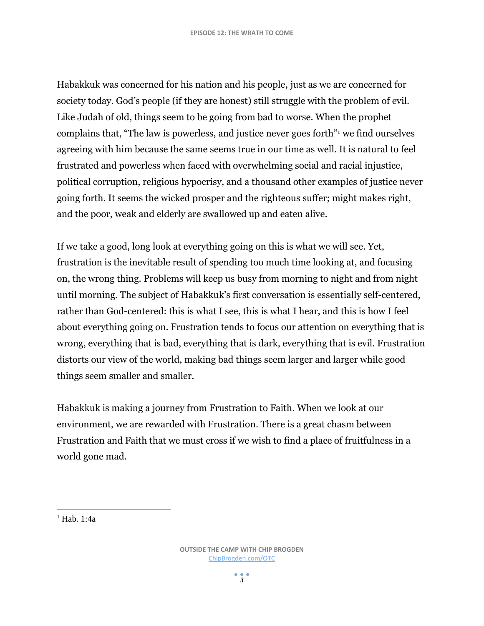Habakkuk was concerned for his nation and his people, just as we are concerned for society today. God's people (if they are honest) still struggle with the problem of evil. Like Judah of old, things seem to be going from bad to worse. When the prophet complains that, "The law is powerless, and justice never goes forth"<sup>1</sup> we find ourselves agreeing with him because the same seems true in our time as well. It is natural to feel frustrated and powerless when faced with overwhelming social and racial injustice, political corruption, religious hypocrisy, and a thousand other examples of justice never going forth. It seems the wicked prosper and the righteous suffer; might makes right, and the poor, weak and elderly are swallowed up and eaten alive.

If we take a good, long look at everything going on this is what we will see. Yet, frustration is the inevitable result of spending too much time looking at, and focusing on, the wrong thing. Problems will keep us busy from morning to night and from night until morning. The subject of Habakkuk's first conversation is essentially self-centered, rather than God-centered: this is what I see, this is what I hear, and this is how I feel about everything going on. Frustration tends to focus our attention on everything that is wrong, everything that is bad, everything that is dark, everything that is evil. Frustration distorts our view of the world, making bad things seem larger and larger while good things seem smaller and smaller.

Habakkuk is making a journey from Frustration to Faith. When we look at our environment, we are rewarded with Frustration. There is a great chasm between Frustration and Faith that we must cross if we wish to find a place of fruitfulness in a world gone mad.

 $1$  Hab.  $1.4a$ 

l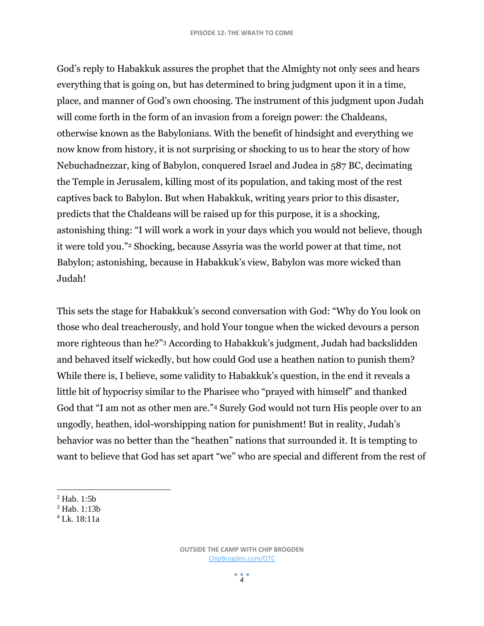God's reply to Habakkuk assures the prophet that the Almighty not only sees and hears everything that is going on, but has determined to bring judgment upon it in a time, place, and manner of God's own choosing. The instrument of this judgment upon Judah will come forth in the form of an invasion from a foreign power: the Chaldeans, otherwise known as the Babylonians. With the benefit of hindsight and everything we now know from history, it is not surprising or shocking to us to hear the story of how Nebuchadnezzar, king of Babylon, conquered Israel and Judea in 587 BC, decimating the Temple in Jerusalem, killing most of its population, and taking most of the rest captives back to Babylon. But when Habakkuk, writing years prior to this disaster, predicts that the Chaldeans will be raised up for this purpose, it is a shocking, astonishing thing: "I will work a work in your days which you would not believe, though it were told you."<sup>2</sup> Shocking, because Assyria was the world power at that time, not Babylon; astonishing, because in Habakkuk's view, Babylon was more wicked than Judah!

This sets the stage for Habakkuk's second conversation with God: "Why do You look on those who deal treacherously, and hold Your tongue when the wicked devours a person more righteous than he?"<sup>3</sup> According to Habakkuk's judgment, Judah had backslidden and behaved itself wickedly, but how could God use a heathen nation to punish them? While there is, I believe, some validity to Habakkuk's question, in the end it reveals a little bit of hypocrisy similar to the Pharisee who "prayed with himself" and thanked God that "I am not as other men are."<sup>4</sup> Surely God would not turn His people over to an ungodly, heathen, idol-worshipping nation for punishment! But in reality, Judah's behavior was no better than the "heathen" nations that surrounded it. It is tempting to want to believe that God has set apart "we" who are special and different from the rest of

 $\overline{a}$ 

 $<sup>2</sup>$  Hab. 1:5b</sup>

<sup>3</sup> Hab. 1:13b

<sup>4</sup> Lk. 18:11a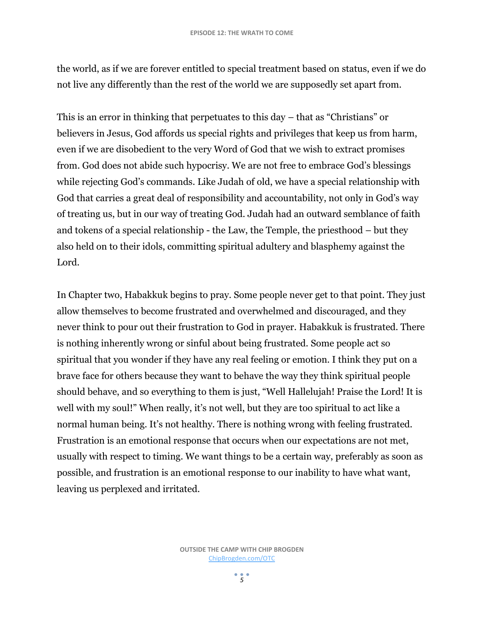the world, as if we are forever entitled to special treatment based on status, even if we do not live any differently than the rest of the world we are supposedly set apart from.

This is an error in thinking that perpetuates to this day – that as "Christians" or believers in Jesus, God affords us special rights and privileges that keep us from harm, even if we are disobedient to the very Word of God that we wish to extract promises from. God does not abide such hypocrisy. We are not free to embrace God's blessings while rejecting God's commands. Like Judah of old, we have a special relationship with God that carries a great deal of responsibility and accountability, not only in God's way of treating us, but in our way of treating God. Judah had an outward semblance of faith and tokens of a special relationship - the Law, the Temple, the priesthood – but they also held on to their idols, committing spiritual adultery and blasphemy against the Lord.

In Chapter two, Habakkuk begins to pray. Some people never get to that point. They just allow themselves to become frustrated and overwhelmed and discouraged, and they never think to pour out their frustration to God in prayer. Habakkuk is frustrated. There is nothing inherently wrong or sinful about being frustrated. Some people act so spiritual that you wonder if they have any real feeling or emotion. I think they put on a brave face for others because they want to behave the way they think spiritual people should behave, and so everything to them is just, "Well Hallelujah! Praise the Lord! It is well with my soul!" When really, it's not well, but they are too spiritual to act like a normal human being. It's not healthy. There is nothing wrong with feeling frustrated. Frustration is an emotional response that occurs when our expectations are not met, usually with respect to timing. We want things to be a certain way, preferably as soon as possible, and frustration is an emotional response to our inability to have what want, leaving us perplexed and irritated.

 $\frac{1}{5}$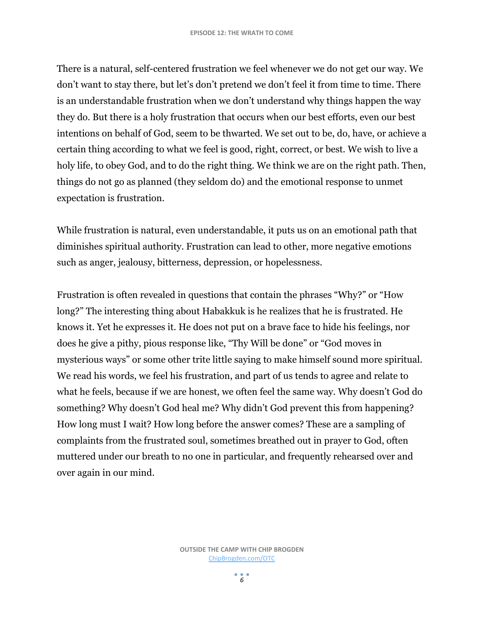There is a natural, self-centered frustration we feel whenever we do not get our way. We don't want to stay there, but let's don't pretend we don't feel it from time to time. There is an understandable frustration when we don't understand why things happen the way they do. But there is a holy frustration that occurs when our best efforts, even our best intentions on behalf of God, seem to be thwarted. We set out to be, do, have, or achieve a certain thing according to what we feel is good, right, correct, or best. We wish to live a holy life, to obey God, and to do the right thing. We think we are on the right path. Then, things do not go as planned (they seldom do) and the emotional response to unmet expectation is frustration.

While frustration is natural, even understandable, it puts us on an emotional path that diminishes spiritual authority. Frustration can lead to other, more negative emotions such as anger, jealousy, bitterness, depression, or hopelessness.

Frustration is often revealed in questions that contain the phrases "Why?" or "How long?" The interesting thing about Habakkuk is he realizes that he is frustrated. He knows it. Yet he expresses it. He does not put on a brave face to hide his feelings, nor does he give a pithy, pious response like, "Thy Will be done" or "God moves in mysterious ways" or some other trite little saying to make himself sound more spiritual. We read his words, we feel his frustration, and part of us tends to agree and relate to what he feels, because if we are honest, we often feel the same way. Why doesn't God do something? Why doesn't God heal me? Why didn't God prevent this from happening? How long must I wait? How long before the answer comes? These are a sampling of complaints from the frustrated soul, sometimes breathed out in prayer to God, often muttered under our breath to no one in particular, and frequently rehearsed over and over again in our mind.

 $\frac{1}{6}$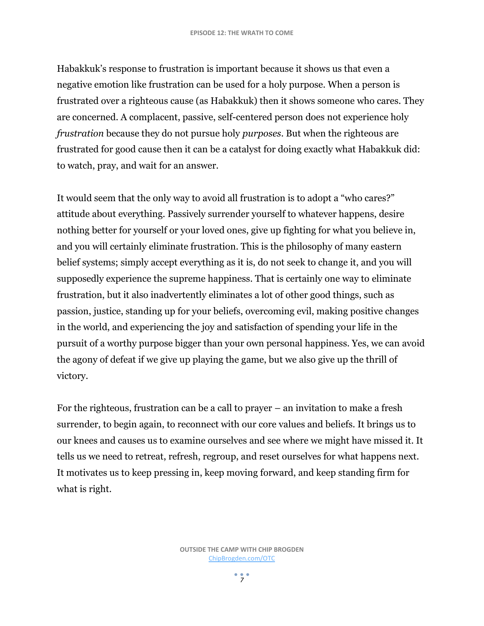Habakkuk's response to frustration is important because it shows us that even a negative emotion like frustration can be used for a holy purpose. When a person is frustrated over a righteous cause (as Habakkuk) then it shows someone who cares. They are concerned. A complacent, passive, self-centered person does not experience holy *frustration* because they do not pursue holy *purposes*. But when the righteous are frustrated for good cause then it can be a catalyst for doing exactly what Habakkuk did: to watch, pray, and wait for an answer.

It would seem that the only way to avoid all frustration is to adopt a "who cares?" attitude about everything. Passively surrender yourself to whatever happens, desire nothing better for yourself or your loved ones, give up fighting for what you believe in, and you will certainly eliminate frustration. This is the philosophy of many eastern belief systems; simply accept everything as it is, do not seek to change it, and you will supposedly experience the supreme happiness. That is certainly one way to eliminate frustration, but it also inadvertently eliminates a lot of other good things, such as passion, justice, standing up for your beliefs, overcoming evil, making positive changes in the world, and experiencing the joy and satisfaction of spending your life in the pursuit of a worthy purpose bigger than your own personal happiness. Yes, we can avoid the agony of defeat if we give up playing the game, but we also give up the thrill of victory.

For the righteous, frustration can be a call to prayer – an invitation to make a fresh surrender, to begin again, to reconnect with our core values and beliefs. It brings us to our knees and causes us to examine ourselves and see where we might have missed it. It tells us we need to retreat, refresh, regroup, and reset ourselves for what happens next. It motivates us to keep pressing in, keep moving forward, and keep standing firm for what is right.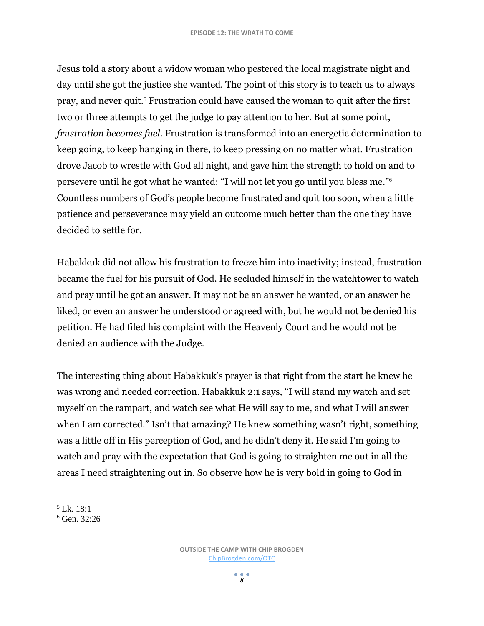Jesus told a story about a widow woman who pestered the local magistrate night and day until she got the justice she wanted. The point of this story is to teach us to always pray, and never quit.<sup>5</sup> Frustration could have caused the woman to quit after the first two or three attempts to get the judge to pay attention to her. But at some point, *frustration becomes fuel*. Frustration is transformed into an energetic determination to keep going, to keep hanging in there, to keep pressing on no matter what. Frustration drove Jacob to wrestle with God all night, and gave him the strength to hold on and to persevere until he got what he wanted: "I will not let you go until you bless me." 6 Countless numbers of God's people become frustrated and quit too soon, when a little patience and perseverance may yield an outcome much better than the one they have decided to settle for.

Habakkuk did not allow his frustration to freeze him into inactivity; instead, frustration became the fuel for his pursuit of God. He secluded himself in the watchtower to watch and pray until he got an answer. It may not be an answer he wanted, or an answer he liked, or even an answer he understood or agreed with, but he would not be denied his petition. He had filed his complaint with the Heavenly Court and he would not be denied an audience with the Judge.

The interesting thing about Habakkuk's prayer is that right from the start he knew he was wrong and needed correction. Habakkuk 2:1 says, "I will stand my watch and set myself on the rampart, and watch see what He will say to me, and what I will answer when I am corrected." Isn't that amazing? He knew something wasn't right, something was a little off in His perception of God, and he didn't deny it. He said I'm going to watch and pray with the expectation that God is going to straighten me out in all the areas I need straightening out in. So observe how he is very bold in going to God in

 $\overline{\phantom{a}}$  $5$  Lk. 18:1

 $6$  Gen. 32:26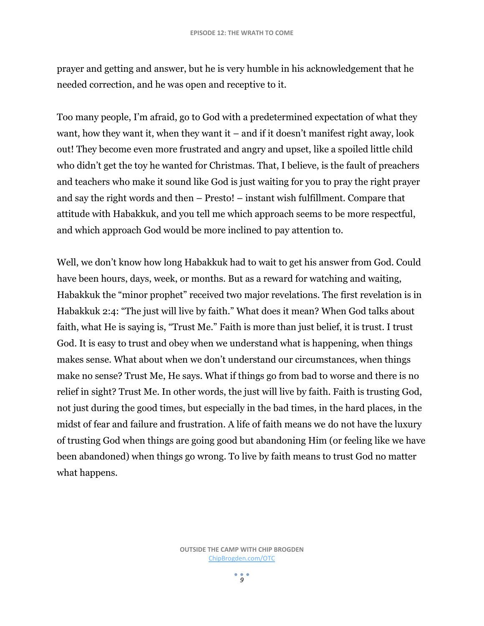prayer and getting and answer, but he is very humble in his acknowledgement that he needed correction, and he was open and receptive to it.

Too many people, I'm afraid, go to God with a predetermined expectation of what they want, how they want it, when they want it – and if it doesn't manifest right away, look out! They become even more frustrated and angry and upset, like a spoiled little child who didn't get the toy he wanted for Christmas. That, I believe, is the fault of preachers and teachers who make it sound like God is just waiting for you to pray the right prayer and say the right words and then – Presto! – instant wish fulfillment. Compare that attitude with Habakkuk, and you tell me which approach seems to be more respectful, and which approach God would be more inclined to pay attention to.

Well, we don't know how long Habakkuk had to wait to get his answer from God. Could have been hours, days, week, or months. But as a reward for watching and waiting, Habakkuk the "minor prophet" received two major revelations. The first revelation is in Habakkuk 2:4: "The just will live by faith." What does it mean? When God talks about faith, what He is saying is, "Trust Me." Faith is more than just belief, it is trust. I trust God. It is easy to trust and obey when we understand what is happening, when things makes sense. What about when we don't understand our circumstances, when things make no sense? Trust Me, He says. What if things go from bad to worse and there is no relief in sight? Trust Me. In other words, the just will live by faith. Faith is trusting God, not just during the good times, but especially in the bad times, in the hard places, in the midst of fear and failure and frustration. A life of faith means we do not have the luxury of trusting God when things are going good but abandoning Him (or feeling like we have been abandoned) when things go wrong. To live by faith means to trust God no matter what happens.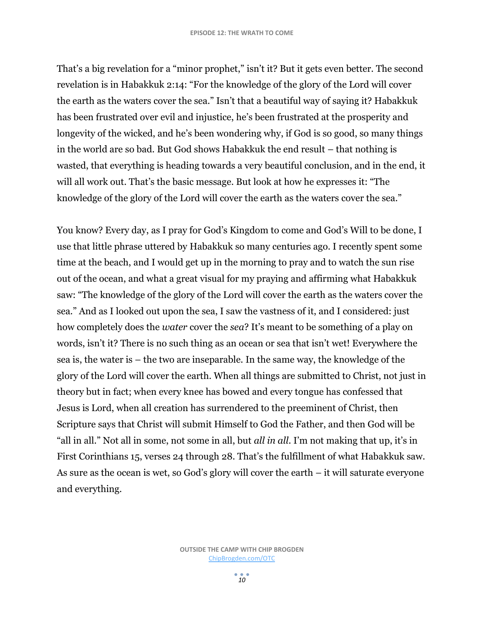That's a big revelation for a "minor prophet," isn't it? But it gets even better. The second revelation is in Habakkuk 2:14: "For the knowledge of the glory of the Lord will cover the earth as the waters cover the sea." Isn't that a beautiful way of saying it? Habakkuk has been frustrated over evil and injustice, he's been frustrated at the prosperity and longevity of the wicked, and he's been wondering why, if God is so good, so many things in the world are so bad. But God shows Habakkuk the end result – that nothing is wasted, that everything is heading towards a very beautiful conclusion, and in the end, it will all work out. That's the basic message. But look at how he expresses it: "The knowledge of the glory of the Lord will cover the earth as the waters cover the sea."

You know? Every day, as I pray for God's Kingdom to come and God's Will to be done, I use that little phrase uttered by Habakkuk so many centuries ago. I recently spent some time at the beach, and I would get up in the morning to pray and to watch the sun rise out of the ocean, and what a great visual for my praying and affirming what Habakkuk saw: "The knowledge of the glory of the Lord will cover the earth as the waters cover the sea." And as I looked out upon the sea, I saw the vastness of it, and I considered: just how completely does the *water* cover the *sea*? It's meant to be something of a play on words, isn't it? There is no such thing as an ocean or sea that isn't wet! Everywhere the sea is, the water is – the two are inseparable. In the same way, the knowledge of the glory of the Lord will cover the earth. When all things are submitted to Christ, not just in theory but in fact; when every knee has bowed and every tongue has confessed that Jesus is Lord, when all creation has surrendered to the preeminent of Christ, then Scripture says that Christ will submit Himself to God the Father, and then God will be "all in all." Not all in some, not some in all, but *all in all*. I'm not making that up, it's in First Corinthians 15, verses 24 through 28. That's the fulfillment of what Habakkuk saw. As sure as the ocean is wet, so God's glory will cover the earth – it will saturate everyone and everything.